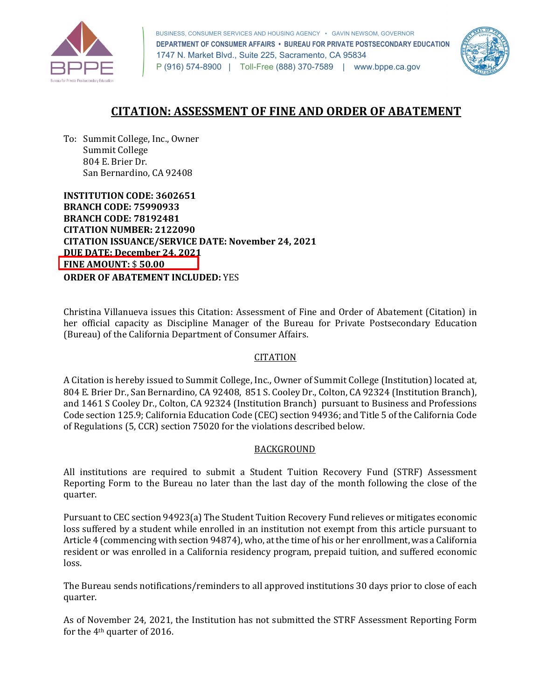

 BUSINESS, CONSUMER SERVICES AND HOUSING AGENCY • GAVIN NEWSOM, GOVERNOR  **DEPARTMENT OF CONSUMER AFFAIRS • BUREAU FOR PRIVATE POSTSECONDARY EDUCATION**  1747 N. Market Blvd., Suite 225, Sacramento, CA 95834 P (916) 574-8900 | Toll-Free (888) 370-7589 | [www.bppe.ca.gov](https://www.bppe.ca.gov/) 



# **CITATION: ASSESSMENT OF FINE AND ORDER OF ABATEMENT**

 To: Summit College, Inc., Owner 804 E. Brier Dr. San Bernardino, CA 92408 Summit College

 **INSTITUTION CODE: 3602651 CITATION ISSUANCE/SERVICE DATE: November 24, 2021 BRANCH CODE: 75990933 BRANCH CODE: 78192481 CITATION NUMBER: 2122090 DUE DATE: December 24, 2021 FINE AMOUNT:** \$ **50.00 ORDER OF ABATEMENT INCLUDED:** YES

 Christina Villanueva issues this Citation: Assessment of Fine and Order of Abatement (Citation) in her official capacity as Discipline Manager of the Bureau for Private Postsecondary Education (Bureau) of the California Department of Consumer Affairs.

## CITATION

 804 E. Brier Dr., San Bernardino, CA 92408, 851 S. Cooley Dr., Colton, CA 92324 (Institution Branch), and 1461 S Cooley Dr., Colton, CA 92324 (Institution Branch) pursuant to Business and Professions Code section 125.9; California Education Code (CEC) section 94936; and Title 5 of the California Code of Regulations (5, CCR) section 75020 for the violations described below. A Citation is hereby issued to Summit College, Inc., Owner of Summit College (Institution) located at,

## BACKGROUND

 All institutions are required to submit a Student Tuition Recovery Fund (STRF) Assessment Reporting Form to the Bureau no later than the last day of the month following the close of the quarter.

 loss suffered by a student while enrolled in an institution not exempt from this article pursuant to Article 4 (commencing with section 94874), who, at the time of his or her enrollment, was a California Pursuant to CEC section 94923(a) The Student Tuition Recovery Fund relieves or mitigates economic resident or was enrolled in a California residency program, prepaid tuition, and suffered economic loss.

 The Bureau sends notifications/reminders to all approved institutions 30 days prior to close of each quarter.

 As of November 24, 2021, the Institution has not submitted the STRF Assessment Reporting Form for the 4th quarter of 2016.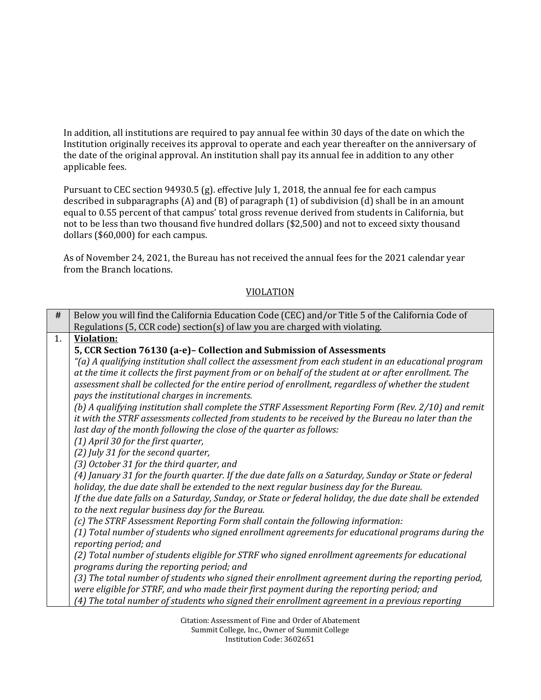In addition, all institutions are required to pay annual fee within 30 days of the date on which the Institution originally receives its approval to operate and each year thereafter on the anniversary of the date of the original approval. An institution shall pay its annual fee in addition to any other applicable fees.

 Pursuant to CEC section 94930.5 (g). effective July 1, 2018, the annual fee for each campus described in subparagraphs (A) and (B) of paragraph (1) of subdivision (d) shall be in an amount equal to 0.55 percent of that campus' total gross revenue derived from students in California, but not to be less than two thousand five hundred dollars (\$2,500) and not to exceed sixty thousand dollars (\$60,000) for each campus.

 As of November 24, 2021, the Bureau has not received the annual fees for the 2021 calendar year from the Branch locations.

| #  | Below you will find the California Education Code (CEC) and/or Title 5 of the California Code of                                                             |
|----|--------------------------------------------------------------------------------------------------------------------------------------------------------------|
|    | Regulations (5, CCR code) section(s) of law you are charged with violating.                                                                                  |
| 1. | <b>Violation:</b>                                                                                                                                            |
|    | 5, CCR Section 76130 (a-e)- Collection and Submission of Assessments                                                                                         |
|    | (a) A qualifying institution shall collect the assessment from each student in an educational program"                                                       |
|    | at the time it collects the first payment from or on behalf of the student at or after enrollment. The                                                       |
|    | assessment shall be collected for the entire period of enrollment, regardless of whether the student                                                         |
|    | pays the institutional charges in increments.                                                                                                                |
|    | (b) A qualifying institution shall complete the STRF Assessment Reporting Form (Rev. 2/10) and remit                                                         |
|    | it with the STRF assessments collected from students to be received by the Bureau no later than the                                                          |
|    | last day of the month following the close of the quarter as follows:                                                                                         |
|    | (1) April 30 for the first quarter,                                                                                                                          |
|    | (2) July 31 for the second quarter,                                                                                                                          |
|    | (3) October 31 for the third quarter, and                                                                                                                    |
|    | (4) January 31 for the fourth quarter. If the due date falls on a Saturday, Sunday or State or federal                                                       |
|    | holiday, the due date shall be extended to the next regular business day for the Bureau.                                                                     |
|    | If the due date falls on a Saturday, Sunday, or State or federal holiday, the due date shall be extended<br>to the next regular business day for the Bureau. |
|    | (c) The STRF Assessment Reporting Form shall contain the following information:                                                                              |
|    | (1) Total number of students who signed enrollment agreements for educational programs during the                                                            |
|    | reporting period; and                                                                                                                                        |
|    | (2) Total number of students eligible for STRF who signed enrollment agreements for educational                                                              |
|    | programs during the reporting period; and                                                                                                                    |
|    | (3) The total number of students who signed their enrollment agreement during the reporting period,                                                          |
|    | were eligible for STRF, and who made their first payment during the reporting period; and                                                                    |
|    | (4) The total number of students who signed their enrollment agreement in a previous reporting                                                               |

VIOLATION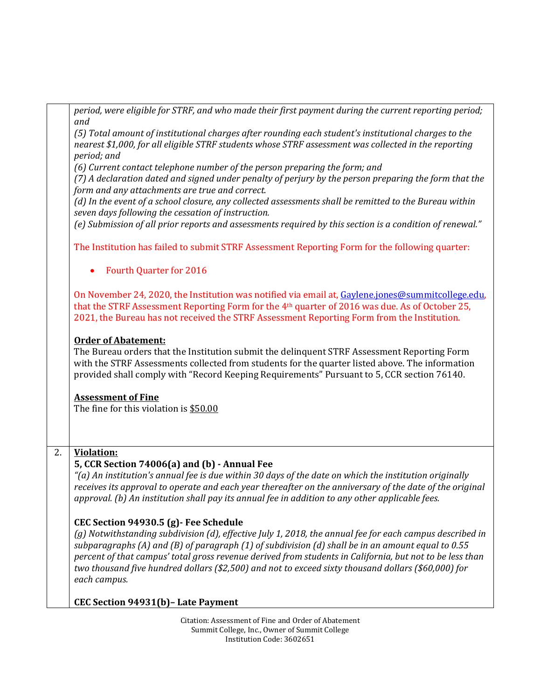|                  | period, were eligible for STRF, and who made their first payment during the current reporting period;<br>and                                                                                                                                                                                                               |
|------------------|----------------------------------------------------------------------------------------------------------------------------------------------------------------------------------------------------------------------------------------------------------------------------------------------------------------------------|
|                  | (5) Total amount of institutional charges after rounding each student's institutional charges to the<br>nearest \$1,000, for all eligible STRF students whose STRF assessment was collected in the reporting                                                                                                               |
|                  | period; and                                                                                                                                                                                                                                                                                                                |
|                  | (6) Current contact telephone number of the person preparing the form; and<br>(7) A declaration dated and signed under penalty of perjury by the person preparing the form that the                                                                                                                                        |
|                  | form and any attachments are true and correct.                                                                                                                                                                                                                                                                             |
|                  | (d) In the event of a school closure, any collected assessments shall be remitted to the Bureau within<br>seven days following the cessation of instruction.                                                                                                                                                               |
|                  | (e) Submission of all prior reports and assessments required by this section is a condition of renewal."                                                                                                                                                                                                                   |
|                  | The Institution has failed to submit STRF Assessment Reporting Form for the following quarter:                                                                                                                                                                                                                             |
|                  | <b>Fourth Quarter for 2016</b>                                                                                                                                                                                                                                                                                             |
|                  | On November 24, 2020, the Institution was notified via email at, Gaylene.jones@summitcollege.edu,<br>that the STRF Assessment Reporting Form for the 4 <sup>th</sup> quarter of 2016 was due. As of October 25,<br>2021, the Bureau has not received the STRF Assessment Reporting Form from the Institution.              |
|                  | <b>Order of Abatement:</b><br>The Bureau orders that the Institution submit the delinguent STRF Assessment Reporting Form<br>with the STRF Assessments collected from students for the quarter listed above. The information<br>provided shall comply with "Record Keeping Requirements" Pursuant to 5, CCR section 76140. |
|                  | <b>Assessment of Fine</b><br>The fine for this violation is \$50.00                                                                                                                                                                                                                                                        |
|                  |                                                                                                                                                                                                                                                                                                                            |
| $\overline{2}$ . | <b>Violation:</b>                                                                                                                                                                                                                                                                                                          |
|                  | 5, CCR Section 74006(a) and (b) - Annual Fee                                                                                                                                                                                                                                                                               |
|                  | "(a) An institution's annual fee is due within 30 days of the date on which the institution originally<br>receives its approval to operate and each year thereafter on the anniversary of the date of the original                                                                                                         |
|                  | approval. (b) An institution shall pay its annual fee in addition to any other applicable fees.                                                                                                                                                                                                                            |
|                  | CEC Section 94930.5 (g) - Fee Schedule                                                                                                                                                                                                                                                                                     |
|                  | (g) Notwithstanding subdivision (d), effective July 1, 2018, the annual fee for each campus described in                                                                                                                                                                                                                   |
|                  | subparagraphs (A) and (B) of paragraph (1) of subdivision (d) shall be in an amount equal to 0.55                                                                                                                                                                                                                          |
|                  | percent of that campus' total gross revenue derived from students in California, but not to be less than<br>two thousand five hundred dollars (\$2,500) and not to exceed sixty thousand dollars (\$60,000) for                                                                                                            |
|                  | each campus.                                                                                                                                                                                                                                                                                                               |
|                  |                                                                                                                                                                                                                                                                                                                            |
|                  | CEC Section 94931(b)- Late Payment                                                                                                                                                                                                                                                                                         |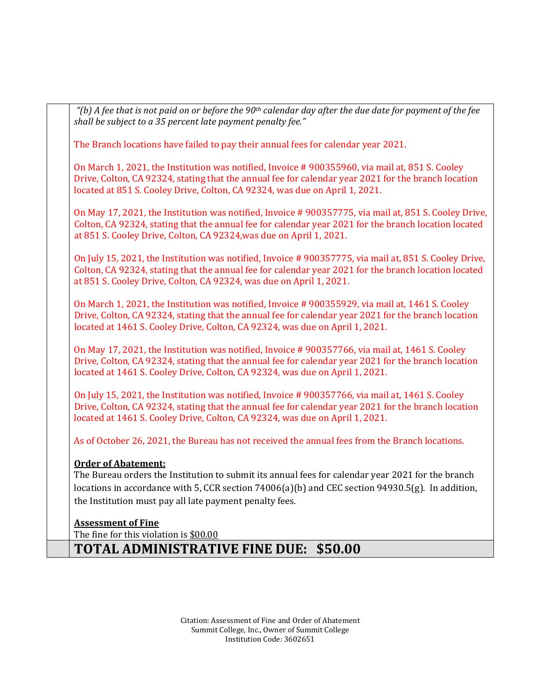*"(b) A fee that is not paid on or before the 90th calendar day after the due date for payment of the fee shall be subject to a 35 percent late payment penalty fee."*  The Branch locations have failed to pay their annual fees for calendar year 2021. On March 1, 2021, the Institution was notified, Invoice # 900355960, via mail at, 851 S. Cooley Drive, Colton, CA 92324, stating that the annual fee for calendar year 2021 for the branch location located at 851 S. Cooley Drive, Colton, CA 92324, was due on April 1, 2021. On May 17, 2021, the Institution was notified, Invoice # 900357775, via mail at, 851 S. Cooley Drive, Colton, CA 92324, stating that the annual fee for calendar year 2021 for the branch location located at 851 S. Cooley Drive, Colton, CA 92324,was due on April 1, 2021. On July 15, 2021, the Institution was notified, Invoice # 900357775, via mail at, 851 S. Cooley Drive, Colton, CA 92324, stating that the annual fee for calendar year 2021 for the branch location located at 851 S. Cooley Drive, Colton, CA 92324, was due on April 1, 2021. On March 1, 2021, the Institution was notified, Invoice # 900355929, via mail at, 1461 S. Cooley Drive, Colton, CA 92324, stating that the annual fee for calendar year 2021 for the branch location located at 1461 S. Cooley Drive, Colton, CA 92324, was due on April 1, 2021. On May 17, 2021, the Institution was notified, Invoice # 900357766, via mail at, 1461 S. Cooley Drive, Colton, CA 92324, stating that the annual fee for calendar year 2021 for the branch location located at 1461 S. Cooley Drive, Colton, CA 92324, was due on April 1, 2021. On July 15, 2021, the Institution was notified, Invoice # 900357766, via mail at, 1461 S. Cooley Drive, Colton, CA 92324, stating that the annual fee for calendar year 2021 for the branch location located at 1461 S. Cooley Drive, Colton, CA 92324, was due on April 1, 2021. As of October 26, 2021, the Bureau has not received the annual fees from the Branch locations.  **Order of Abatement:**  The Bureau orders the Institution to submit its annual fees for calendar year 2021 for the branch locations in accordance with 5, CCR section 74006(a)(b) and CEC section 94930.5(g). In addition, the Institution must pay all late payment penalty fees. The fine for this violation is <u>\$00.00</u> **Assessment of Fine TOTAL ADMINISTRATIVE FINE DUE: \$50.00**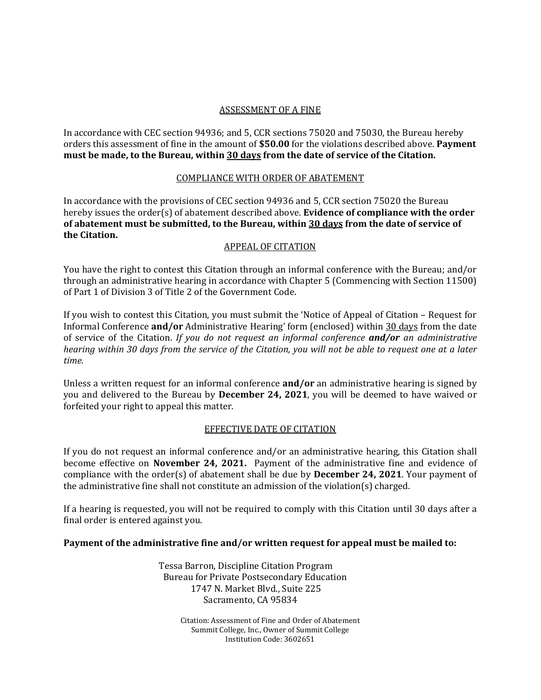# ASSESSMENT OF A FINE

 In accordance with CEC section 94936; and 5, CCR sections 75020 and 75030, the Bureau hereby orders this assessment of fine in the amount of **\$50.00** for the violations described above. **Payment must be made, to the Bureau, within 30 days from the date of service of the Citation.** 

## COMPLIANCE WITH ORDER OF ABATEMENT

 In accordance with the provisions of CEC section 94936 and 5, CCR section 75020 the Bureau hereby issues the order(s) of abatement described above. **Evidence of compliance with the order of abatement must be submitted, to the Bureau, within 30 days from the date of service of the Citation.** 

## APPEAL OF CITATION

 You have the right to contest this Citation through an informal conference with the Bureau; and/or of Part 1 of Division 3 of Title 2 of the Government Code. through an administrative hearing in accordance with Chapter 5 (Commencing with Section 11500)

 If you wish to contest this Citation, you must submit the 'Notice of Appeal of Citation – Request for  *hearing within 30 days from the service of the Citation, you will not be able to request one at a later*  Informal Conference **and/or** Administrative Hearing' form (enclosed) within 30 days from the date of service of the Citation. *If you do not request an informal conference and/or an administrative time.* 

 Unless a written request for an informal conference **and/or** an administrative hearing is signed by forfeited your right to appeal this matter. you and delivered to the Bureau by **December 24, 2021**, you will be deemed to have waived or

### EFFECTIVE DATE OF CITATION

 If you do not request an informal conference and/or an administrative hearing, this Citation shall  become effective on **November 24, 2021.** Payment of the administrative fine and evidence of the administrative fine shall not constitute an admission of the violation(s) charged. compliance with the order(s) of abatement shall be due by **December 24, 2021**. Your payment of

 If a hearing is requested, you will not be required to comply with this Citation until 30 days after a final order is entered against you.

### **Payment of the administrative fine and/or written request for appeal must be mailed to:**

 Tessa Barron, Discipline Citation Program 1747 N. Market Blvd., Suite 225 Bureau for Private Postsecondary Education Sacramento, CA 95834

> Citation: Assessment of Fine and Order of Abatement Summit College, Inc., Owner of Summit College Institution Code: 3602651